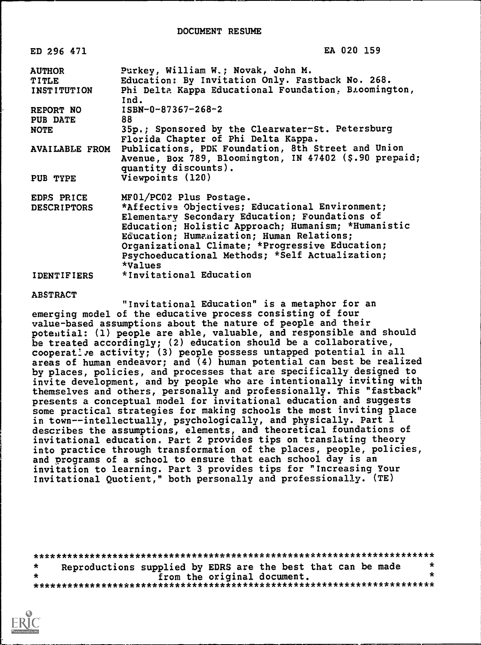| ED 296 471            | EA 020 159                                                                                                                           |
|-----------------------|--------------------------------------------------------------------------------------------------------------------------------------|
| <b>AUTHOR</b>         | Purkey, William W.; Novak, John M.                                                                                                   |
| TITLE                 | Education: By Invitation Only. Fastback No. 268.                                                                                     |
| <b>INSTITUTION</b>    | Phi Delta Kappa Educational Foundation, B.comington,<br>Ind.                                                                         |
| REPORT NO             | ISBN-0-87367-268-2                                                                                                                   |
| <b>PUB DATE</b>       | 88                                                                                                                                   |
| <b>NOTE</b>           | 35p.; Sponsored by the Clearwater-St. Petersburg<br>Florida Chapter of Phi Delta Kappa.                                              |
| <b>AVAILABLE FROM</b> | Publications, PDK Foundation, 8th Street and Union<br>Avenue, Box 789, Bloomington, IN 47402 (\$.90 prepaid;<br>quantity discounts). |
| PUB TYPE              | Viewpoints (120)                                                                                                                     |
| EDPS PRICE            | MF01/PC02 Plus Postage.                                                                                                              |
| <b>DESCRIPTORS</b>    | *Affective Objectives; Educational Environment;                                                                                      |
|                       | Elementary Secondary Education; Foundations of                                                                                       |
|                       | Education; Holistic Approach; Humanism; *Humanistic                                                                                  |
|                       | Education; Humanization; Human Relations;                                                                                            |
|                       | Organizational Climate; *Progressive Education;                                                                                      |
|                       | Psychoeducational Methods; *Self Actualization;                                                                                      |
|                       | *Values                                                                                                                              |
| <b>IDENTIFIERS</b>    | *Invitational Education                                                                                                              |

#### ABSTRACT

"Invitational Education" is a metaphor for an emerging model of the educative process consisting of four value-based assumptions about the nature of people and their potential: (1) people are able, valuable, and responsible and should be treated accordingly; (2) education should be a collaborative, cooperat: ye activity; (3) people possess untapped potential in all areas of human endeavor; and (4) human potential can best be realized by places, policies, and processes that are specifically designed to invite development, and by people who are intentionally inviting with themselves and others, personally and professionally. This "fastback" presents a conceptual model for invitational education and suggests some practical strategies for making schools the most inviting place in town--intellectually, psychologically, and physically. Part 1 describes the assumptions, elements, and theoretical foundations of invitational education. Part 2 provides tips on translating theory into practice through transformation of the places, people, policies, and programs of a school to ensure that each school day is an invitation to learning. Part 3 provides tips for "Increasing Your Invitational Quotient," both personally and professionally. (TE)

\*\*\*\*\*\*\*\*\*\*\*\*\*\*\*\*\*\*\*\*\*\*\*\*\*\*\*\*\*\*\*\*\*\*\*\*\*\*\*\*\*\*\*\*\*\*\*\*\*\*\*\*\*\*\*\*\*\*\*\*\*\*\*\*\*\*\*\*\*\*\* Reproductions supplied by EDRS are the best that can be made  $*$  $\star$ from the original document. \*\*\*\*\*\*\*\*\*\*\*\*\*\*\*\*\*\*\*\*\*\*\*\*\*\*\*\*\*\*\*\*\*\*\*\*\*\*\*\*\*\*\*\*\*\*\*\*\*\*\*\*\*\*\*\*\*\*\*\*\*\*\*\*\*\*\*\*\*\*\*

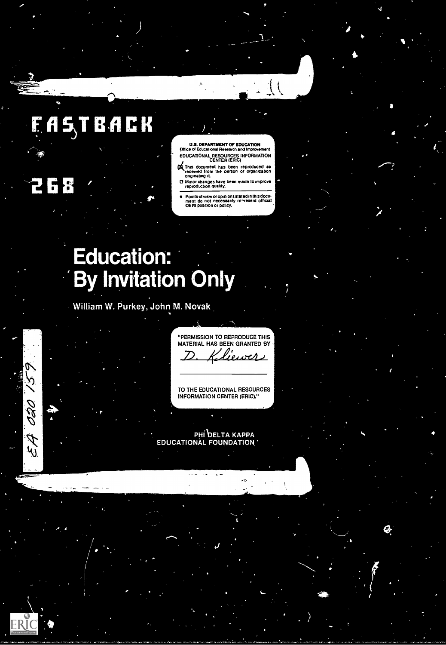# **15TBACI**

268

V Ò,

020

**A3** 

ERĬ(

U.S. DEPARTMENT OF EDUCATION Office of Educational Research and Improvement EDUCATIONAL RESOURCES INFORMATION CENTER (ERIC)

 $\left($ 

- 'ATMs document has been reproduced as received from the person or organization originating it.
- O Minor changes have been made to improve reproduction quality
- Points of view or opinions stated in this document<br>ment ido inot inecessarily in ~resent official<br>OERI position or policy.

# **Education: By Invitation Only**

William W. Purkey, John M. Novak

"PERMISSION TO REPRODUCE THIS MATERIAL HAS BEEN GRANTED BY <u>liewer</u>

TO THE EDUCATIONAL RESOURCES INFORMATION CENTER (ERIC)."

 $11.$ 

ti

DELTA DUCAT ELTA KAPPA<br>OUNDATION '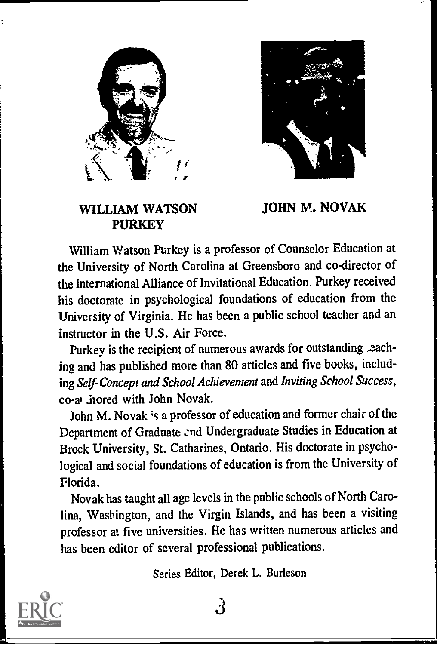



#### WILLIAM WATSON PURKEY

JOHN M. NOVAK

William Watson Purkey is a professor of Counselor Education at the University of North Carolina at Greensboro and co-director of the International Alliance of Invitational Education. Purkey received his doctorate in psychological foundations of education from the University of Virginia. He has been a public school teacher and an instructor in the U.S. Air Force.

Purkey is the recipient of numerous awards for outstanding .eaching and has published more than 80 articles and five books, including Self-Concept and School Achievement and Inviting School Success, co-a' .hored with John Novak.

John M. Novak 's a professor of education and former chair of the Department of Graduate and Undergraduate Studies in Education at Brock University, St. Catharines, Ontario. His doctorate in psychological and social foundations of education is from the University of Florida.

Novak has taught all age levels in the public schools of North Carolina, Washington, and the Virgin Islands, and has been a visiting professor at five universities. He has written numerous articles and has been editor of several professional publications.

Series Editor, Derek L. Burleson

3

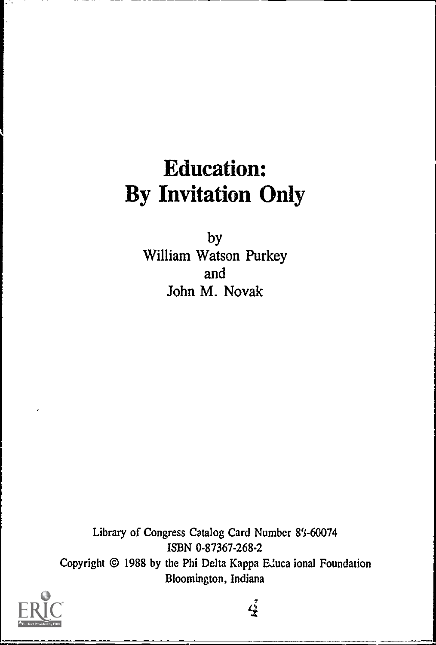## Education: By Invitation Only

by William Watson Purkey and John M. Novak

Library of Congress Catalog Card Number 8's-60074 ISBN 0-87367-268-2 Copyright © 1988 by the Phi Delta Kappa EJuca ional Foundation Bloomington, Indiana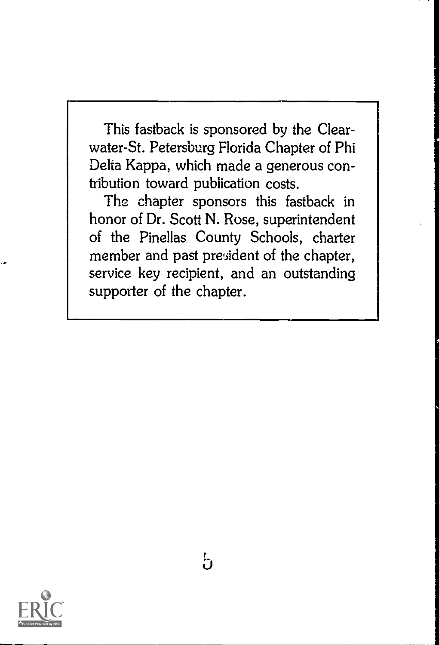This fastback is sponsored by the Clearwater-St. Petersburg Florida Chapter of Phi Delta Kappa, which made a generous contribution toward publication costs.

The chapter sponsors this fastback in honor of Dr. Scott N. Rose, superintendent of the Pinellas County Schools, charter member and past president of the chapter, service key recipient, and an outstanding supporter of the chapter.

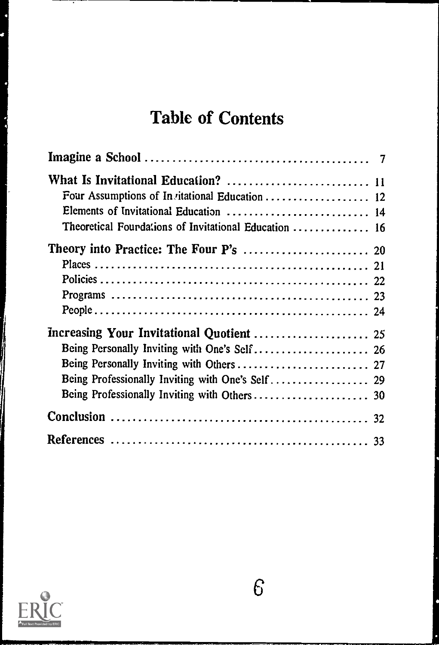## Table of Contents

| What Is Invitational Education?  11<br>Four Assumptions of Invitational Education  12<br>Elements of Invitational Education  14 |  |
|---------------------------------------------------------------------------------------------------------------------------------|--|
| Theoretical Fourdations of Invitational Education  16                                                                           |  |
|                                                                                                                                 |  |
| Being Personally Inviting with Others  27<br>Being Professionally Inviting with One's Self 29                                   |  |
|                                                                                                                                 |  |
|                                                                                                                                 |  |



t ð

Z

有序作用 l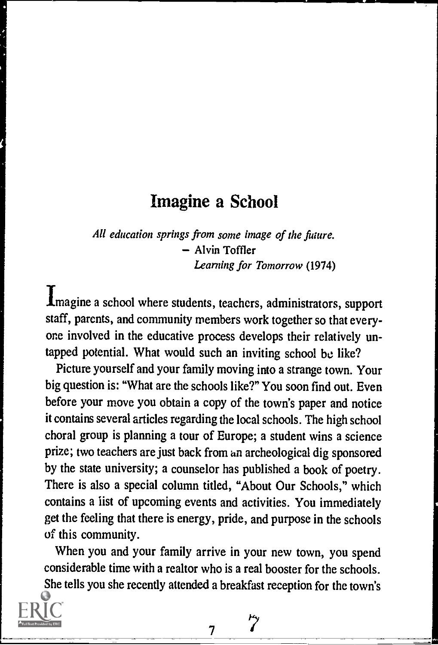### Imagine a School

All education springs from some image of the future. - Alvin Toffler Learning for Tomorrow (1974)

Imagine a school where students, teachers, administrators, support staff, parents, and community members work together so that everyone involved in the educative process develops their relatively untapped potential. What would such an inviting school be like?

Picture yourself and your family moving into a strange town. Your big question is: "What are the schools like?" You soon find out. Even before your move you obtain a copy of the town's paper and notice it contains several articles regarding the local schools. The high school choral group is planning a tour of Europe; a student wins a science prize; two teachers are just back from an archeological dig sponsored by the state university; a counselor has published a book of poetry. There is also a special column titled, "About Our Schools," which contains a list of upcoming events and activities. You immediately get the feeling that there is energy, pride, and purpose in the schools of this community.

When you and your family arrive in your new town, you spend considerable time with a realtor who is a real booster for the schools. She tells you she recently attended a breakfast reception for the town's

7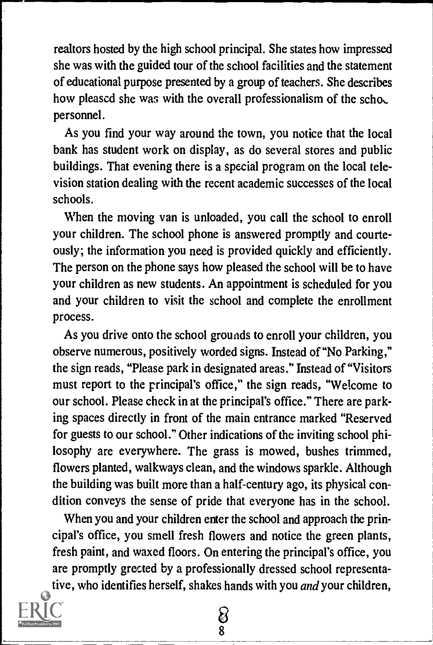realtors hosted by the high school principal. She states how impressed she was with the guided tour of the school facilities and the statement of educational purpose presented by a group of teachers. She describes how pleased she was with the overall professionalism of the scho, personnel.

As you find your way around the town, you notice that the local bank has student work on display, as do several stores and public buildings. That evening there is a special program on the local television station dealing with the recent academic successes of the local schools.

When the moving van is unloaded, you call the school to enroll your children. The school phone is answered promptly and courteously; the information you need is provided quickly and efficiently. The person on the phone says how pleased the school will be to have your children as new students. An appointment is scheduled for you and your children to visit the school and complete the enrollment process.

As you drive onto the school grounds to enroll your children, you observe numerous, positively worded signs. Instead of "No Parking," the sign reads, "Please park in designated areas." Instead of "Visitors must report to the principal's office," the sign reads, "Welcome to our school. Please check in at the principal's office." There are parking spaces directly in front of the main entrance marked "Reserved for guests to our school." Other indications of the inviting school philosophy are everywhere. The grass is mowed, bushes trimmed, flowers planted, walkways clean, and the windows sparkle. Although the building was built more than a half-century ago, its physical condition conveys the sense of pride that everyone has in the school.

When you and your children enter the school and approach the principal's office, you smell fresh flowers and notice the green plants, fresh paint, and waxed floors. On entering the principal's office, you are promptly greeted by a professionally dressed school representative, who identifies herself, shakes hands with you *and* your children,

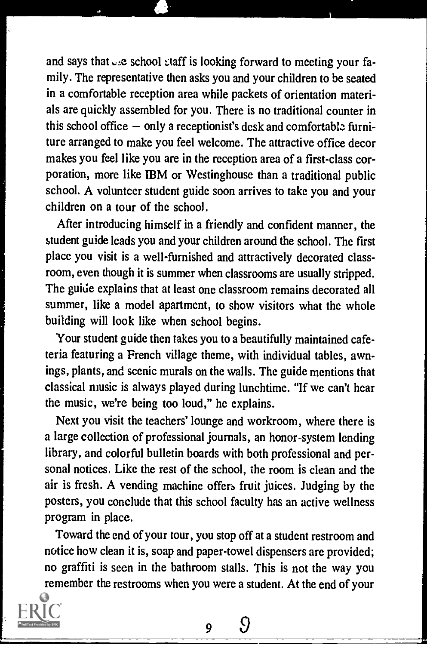and says that  $\cup$  e school staff is looking forward to meeting your family. The representative then asks you and your children to be seated in a comfortable reception area while packets of orientation materials are quickly assembled for you. There is no traditional counter in this school office  $-$  only a receptionist's desk and comfortable furniture arranged to make you feel welcome. The attractive office decor makes you feel like you are in the reception area of a first-class corporation, more like IBM or Westinghouse than a traditional public school. A volunteer student guide soon arrives to take you and your children on a tour of the school.

After introducing himself in a friendly and confident manner, the student guide leads you and your children around the school. The first place you visit is a well-furnished and attractively decorated classroom, even though it is summer when classrooms are usually stripped. The guide explains that at least one classroom remains decorated all summer, like a model apartment, to show visitors what the whole building will look like when school begins.

Your student guide then takes you to a beautifully maintained cafeteria featuring a French village theme, with individual tables, awnings, plants, and scenic murals on the walls. The guide mentions that classical niusic is always played during lunchtime. "If we can't hear the music, we're being too loud," he explains.

Next you visit the teachers' lounge and workroom, where there is a large collection of professional journals, an honor-system lending library, and colorful bulletin boards with both professional and personal notices. Like the rest of the school, the room is clean and the air is fresh. A vending machine offers fruit juices. Judging by the posters, you conclude that this school faculty has an active wellness program in place.

Toward the end of your tour, you stop off at a student restroom and notice how clean it is, soap and paper-towel dispensers are provided; no graffiti is seen in the bathroom stalls. This is not the way you remember the restrooms when you were a student. At the end of your

9

Ω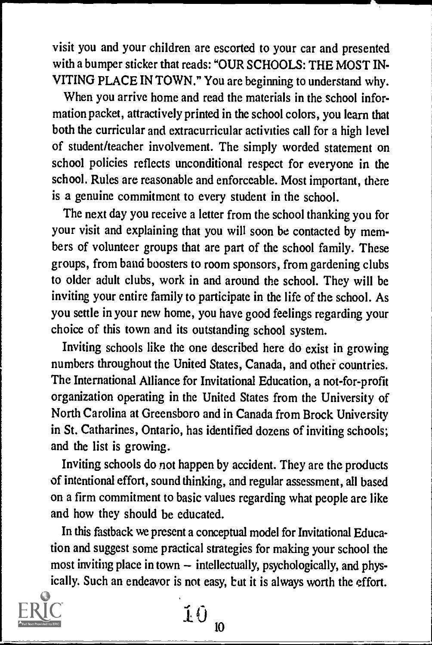visit you and your children are escorted to your car and presented with a bumper sticker that reads: "OUR SCHOOLS: THE MOST IN-VITING PLACE IN TOWN." You are beginning to understand why.

When you arrive home and read the materials in the school information packet, attractively printed in the school colors, you learn that both the curricular and extracurricular activities call for a high level of student/teacher involvement. The simply worded statement on school policies reflects unconditional respect for everyone in the school. Rules are reasonable and enforceable. Most important, there is a genuine commitment to every student in the school.

The next day you receive a letter from the school thanking you for your visit and explaining that you will soon be contacted by members of volunteer groups that are part of the school family. These groups, from band boosters to room sponsors, from gardening clubs to older adult clubs, work in and around the school. They will be inviting your entire family to participate in the life of the school. As you settle in your new home, you have good feelings regarding your choice of this town and its outstanding school system.

Inviting schools like the one described here do exist in growing numbers throughout the United States, Canada, and other countries. The International Alliance for Invitational Education, a not-for-profit organization operating in the United States from the University of North Carolina at Greensboro and in Canada from Brock University in St. Catharines, Ontario, has identified dozens of inviting schools; and the list is growing.

Inviting schools do not happen by accident. They are the products of intentional effort, sound thinking, and regular assessment, all based on a firm commitment to basic values regarding what people are like and how they should be educated.

In this fastback we present a conceptual model for Invitational Education and suggest some practical strategies for making your school the most inviting place in town  $-$  intellectually, psychologically, and physically. Such an endeavor is not easy, but it is always worth the effort.



 $10_{n}$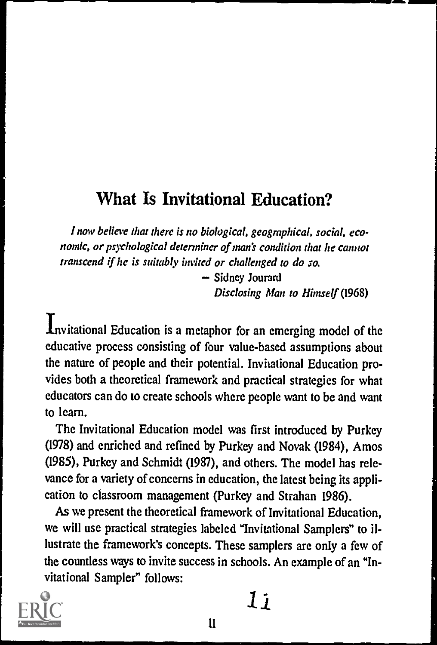## What Is Invitational Education?

.1 now believe that there is no biological, geographical, social, economic, or psychological determiner of man's condition that he cannot transcend if he is suitably invited or challenged to do so.

> - Sidney Jourard Disclosing Man to Himself (1968)

Invitational Education is a metaphor for an emerging model of the educative process consisting of four value-based assumptions about the nature of people and their potential. Invitational Education provides both a theoretical framework and practical strategies for what educators can do to create schools where people want to be and want to learn.

The Invitational Education model was first introduced by Purkey (1978) and enriched and refined by Purkey and Novak (1984), Amos (1985), Purkey and Schmidt (1987), and others. The model has relevance for a variety of concerns in education, the latest being its application to classroom management (Purkey and Strahan 1986).

As we present the theoretical framework of Invitational Education, we will use practical strategies labeled "Invitational Samplers" to illustrate the framework's concepts. These samplers are only a few of the countless ways to invite success in schools. An example of an "Invitational Sampler" follows:



 $1j$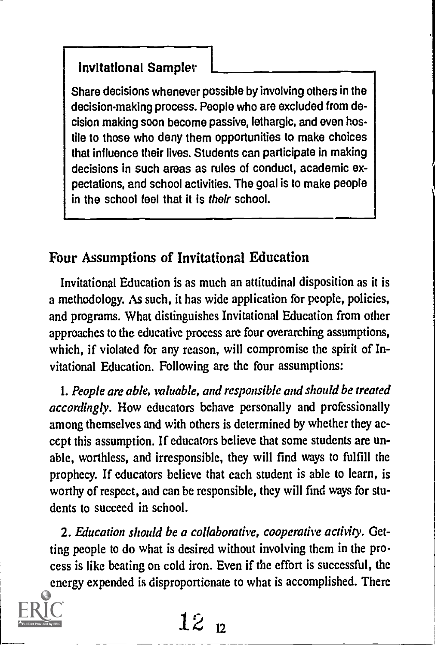Share decisions whenever possible by involving others in the decision-making process. People who are excluded from decision making soon become passive, lethargic, and even hostile to those who deny them opportunities to make choices that influence their lives. Students can participate in making decisions in such areas as rules of conduct, academic expectations, and school activities. The goal is to make people in the school feel that it is their school.

#### Four Assumptions of Invitational Education

Invitational Education is as much an attitudinal disposition as it is a methodology. As such, it has wide application for people, policies, and programs. What distinguishes Invitational Education from other approaches to the educative process are four overarching assumptions, which, if violated for any reason, will compromise the spirit of Invitational Education. Following are the four assumptions:

1. People are able, valuable, and responsible and should be treated accordingly. How educators behave personally and professionally among themselves and with others is determined by whether they accept this assumption. If educators believe that some students are unable, worthless, and irresponsible, they will find ways to fulfill the prophecy. If educators believe that each student is able to learn, is worthy of respect, and can be responsible, they will find ways for students to succeed in school.

2. Education should be a collaborative, cooperative activity. Getting people to do what is desired without involving them in the process is like beating on cold iron. Even if the effort is successful, the energy expended is disproportionate to what is accomplished. There

 $12_{12}$ 

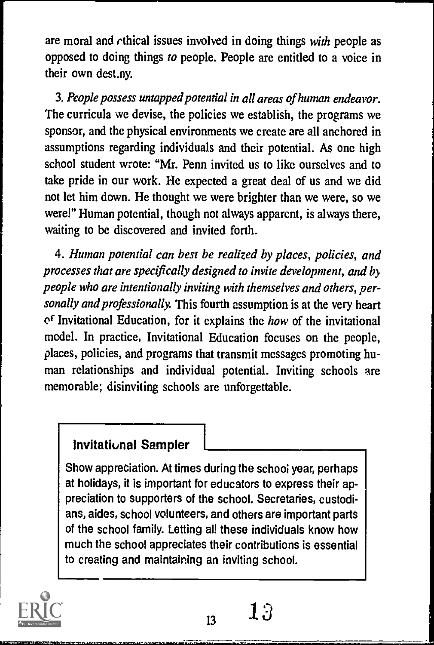are moral and rthical issues involved in doing things with people as opposed to doing things to people. People are entitled to a voice in their own dest\_ny.

3. People possess untapped potential in all areas of human endeavor. The curricula we devise, the policies we establish, the programs we sponsor, and the physical environments we create are all anchored in assumptions regarding individuals and their potential. As one high school student wrote: "Mr. Penn invited us to like ourselves and to take pride in our work. He expected a great deal of us and we did not let him down. He thought we were brighter than we were, so we were!" Human potential, though not always apparent, is always there, waiting to be discovered and invited forth.

4. Human potential can best be realized by places, policies, and processes that are specifically designed to invite development, and by people who are intentionally inviting with themselves and others, personally and professionally. This fourth assumption is at the very heart  $of$  Invitational Education, for it explains the *how* of the invitational model. In practice, Invitational Education focuses on the people, places, policies, and programs that transmit messages promoting human relationships and individual potential. Inviting schools are memorable; disinviting schools are unforgettable.

#### Invitational Sampler

Show appreciation. At times during the school year, perhaps at holidays, it is important for educators to express their appreciation to supporters of the school. Secretaries, custodians, aides, school volunteers, and others are important parts of the school family. Letting all these individuals know how much the school appreciates their contributions is essential to creating and maintaining an inviting school.

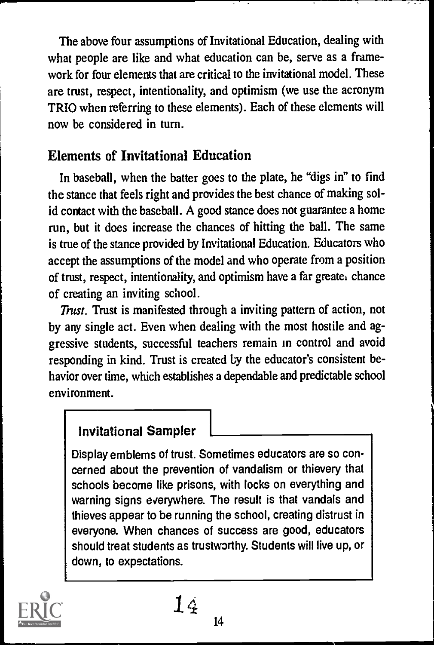The above four assumptions of Invitational Education, dealing with what people are like and what education can be, serve as a framework for four elements that are critical to the invitational model. These are trust, respect, intentionality, and optimism (we use the acronym TRIO when referring to these elements). Each of these elements will now be considered in turn.

#### Elements of Invitational Education

In baseball, when the batter goes to the plate, he "digs in" to find the stance that feels right and provides the best chance of making solid contact with the baseball. A good stance does not guarantee a home run, but it does increase the chances of hitting the ball. The same is true of the stance provided by Invitational Education. Educators who accept the assumptions of the model and who operate from a position of trust, respect, intentionality, and optimism have a far greater chance of creating an inviting school.

Trust. Trust is manifested through a inviting pattern of action, not by any single act. Even when dealing with the most hostile and aggressive students, successful teachers remain in control and avoid responding in kind. Trust is created by the educator's consistent behavior over time, which establishes a dependable and predictable school environment.

#### Invitational Sampler

Display emblems of trust. Sometimes educators are so concerned about the prevention of vandalism or thievery that schools become like prisons, with locks on everything and warning signs everywhere. The result is that vandals and thieves appear to be running the school, creating distrust in everyone. When chances of success are good, educators should treat students as trustworthy. Students will live up, or down, to expectations.



14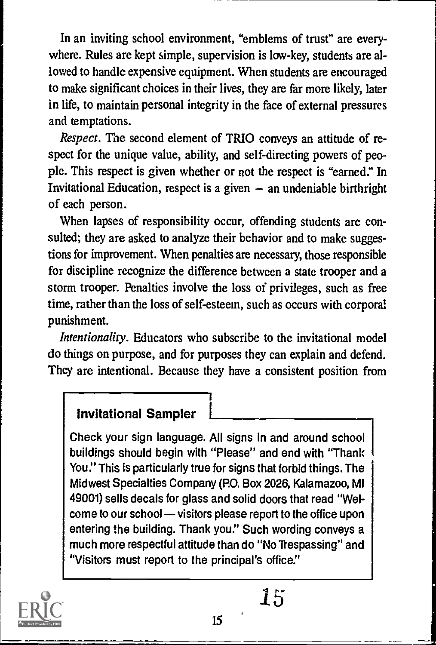In an inviting school environment, "emblems of trust" are everywhere. Rules are kept simple, supervision is low-key, students are allowed to handle expensive equipment. When students are encouraged to make significant choices in their lives, they are far more likely, later in life, to maintain personal integrity in the face of external pressures and temptations.

Respect. The second element of TRIO conveys an attitude of respect for the unique value, ability, and self-directing powers of people. This respect is given whether or not the respect is "earned:' In Invitational Education, respect is a given  $-$  an undeniable birthright of each person.

When lapses of responsibility occur, offending students are consulted; they are asked to analyze their behavior and to make suggestions for improvement. When penalties are necessary, those responsible for discipline recognize the difference between a state trooper and a storm trooper. Penalties involve the loss of privileges, such as free time, rather than the loss of self-esteem, such as occurs with corporal punishment.

Intentionality. Educators who subscribe to the invitational model do things on purpose, and for purposes they can explain and defend. They are intentional. Because they have a consistent position from

I

#### **Invitational Sampler**

Check your sign language. All signs in and around school buildings should begin with "Please" and end with "Thank You." This is particularly true for signs that forbid things. The Midwest Specialties Company (PO. Box 2026, Kalamazoo, MI 49001) sells decals for glass and solid doors that read "Welcome to our school - visitors please report to the office upon entering the building. Thank you." Such wording conveys a much more respectful attitude than do "No Trespassing" and "Visitors must report to the principal's office."



15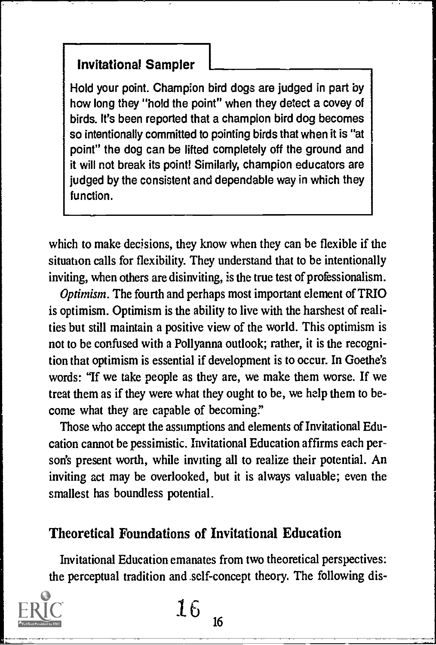#### invitations! Sampler

Hold your point. Champion bird dogs are judged in part by how long they "hold the point" when they detect a covey of birds. It's been reported that a champion bird dog becomes so intentionally committed to pointing birds that when it is "at point" the dog can be lifted completely off the ground and it will not break its point! Similarly, champion educators are judged by the consistent and dependable way in which they function.

which to make decisions, they know when they can be flexible if the situation calls for flexibility. They understand that to be intentionally inviting, when others are disinviting, is the true test of professionalism.

Optimism. The fourth and perhaps most important element of TRIO is optimism. Optimism is the ability to live with the harshest of realities but still maintain a positive view of the world. This optimism is not to be confused with a Pollyanna outlook; rather, it is the recognition that optimism is essential if development is to occur. In Goethe's words: "If we take people as they are, we make them worse. If we treat them as if they were what they ought to be, we help them to become what they are capable of becoming."

Those who accept the assumptions and elements of Invitational Education cannot be pessimistic. Invitational Education affirms each person's present worth, while inviting all to realize their potential. An inviting act may be overlooked, but it is always valuable; even the smallest has boundless potential.

#### Theoretical Foundations of Invitational Education

Invitational Education emanates from two theoretical perspectives: the perceptual tradition and self-concept theory. The following dis-

16

16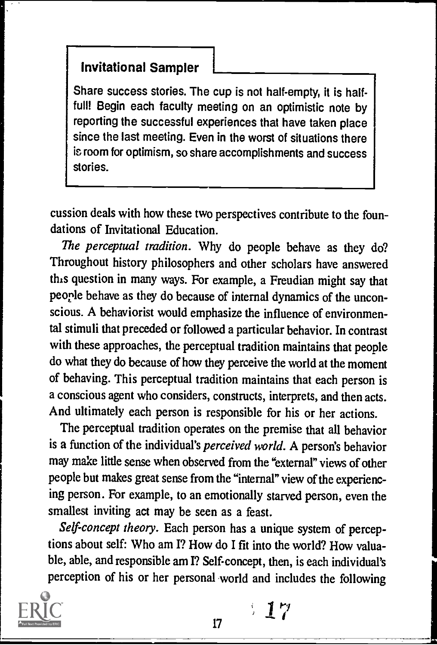Share success stories. The cup is not half-empty, it is halffull! Begin each faculty meeting on an optimistic note by reporting the successful experiences that have taken place since the last meeting. Even in the worst of situations there is room for optimism, so share accomplishments and success stories.

cussion deals with how these two perspectives contribute to the foundations of Invitational Education.

The perceptual tradition. Why do people behave as they do? Throughout history philosophers and other scholars have answered this question in many ways. For example, a Freudian might say that people behave as they do because of internal dynamics of the uncon scious. A behaviorist would emphasize the influence of environmental stimuli that preceded or followed a particular behavior. In contrast with these approaches, the perceptual tradition maintains that people do what they do because of how they perceive the world at the moment of behaving. This perceptual tradition maintains that each person is a conscious agent who considers, constructs, interprets, and then acts. And ultimately each person is responsible for his or her actions.

The perceptual tradition operates on the premise that all behavior is a function of the individual's perceived world. A person's behavior may make little sense when observed from the "external" views of other people but makes great sense from the "internal" view of the experiencing person. For example, to an emotionally starved person, even the smallest inviting act may be seen as a feast.

Self-concept theory. Each person has a unique system of perceptions about self: Who am I? How do I fit into the world? How valuable, able, and responsible am I? Self-concept, then, is each individual's perception of his or her personal world and includes the following



517

17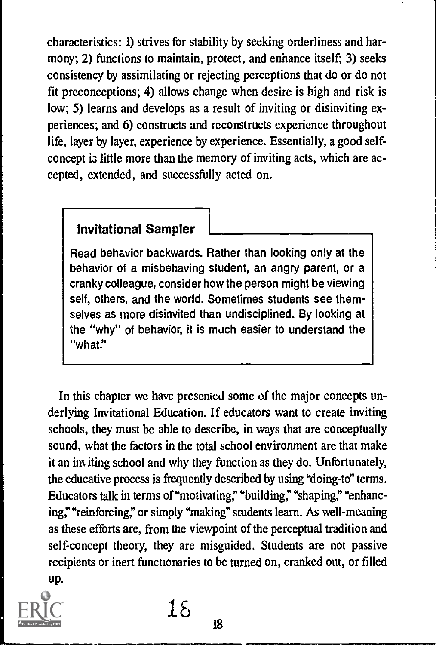characteristics: 1) strives for stability by seeking orderliness and harmony; 2) functions to maintain, protect, and enhance itself; 3) seeks consistency by assimilating or rejecting perceptions that do or do not fit preconceptions; 4) allows change when desire is high and risk is low; 5) learns and develops as a result of inviting or disinviting experiences; and 6) constructs and reconstructs experience throughout life, layer by layer, experience by experience. Essentially, a good selfconcept i3 little more than the memory of inviting acts, which are accepted, extended, and successfully acted on.

#### Invitational Sampler

Read behavior backwards. Rather than looking only at the behavior of a misbehaving student, an angry parent, or a cranky colleague, consider how the person might be viewing self, others, and the world. Sometimes students see themselves as more disinvited than undisciplined. By looking at the "why" of behavior, it is much easier to understand the "what."

In this chapter we have presented some of the major concepts underlying Invitational Education. If educators want to create inviting schools, they must be able to describe, in ways that are conceptually sound, what the factors in the total school environment are that make it an inviting school and why they function as they do. Unfortunately, the educative process is frequently described by using "doing-to" terms. Educators talk in terms of "motivating," "building," "shaping," "enhancing,""reinforcing," or simply "making" students learn. As well-meaning as these efforts are, from the viewpoint of the perceptual tradition and self-concept theory, they are misguided. Students are not passive recipients or inert functionaries to be turned on, cranked out, or filled up.



 $1\delta$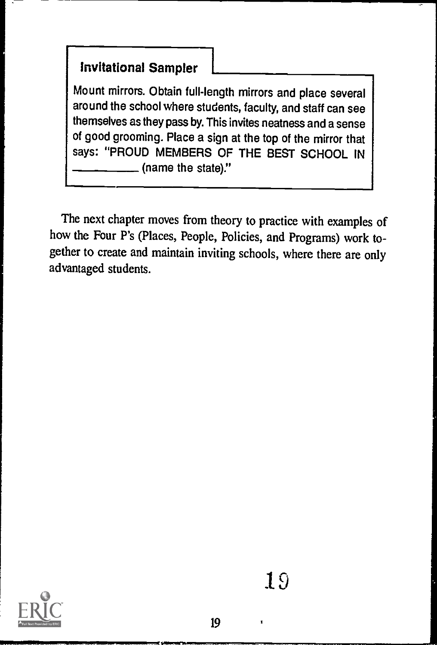Mount mirrors. Obtain full-length mirrors and place several around the school where students, faculty, and staff can see themselves as they pass by. This invites neatness and a sense of good grooming. Place a sign at the top of the mirror that says: "PROUD MEMBERS OF THE BEST SCHOOL IN (name the state)."

The next chapter moves from theory to practice with examples of how the Four P's (Places, People, Policies, and Programs) work together to create and maintain inviting schools, where there are only advantaged students.

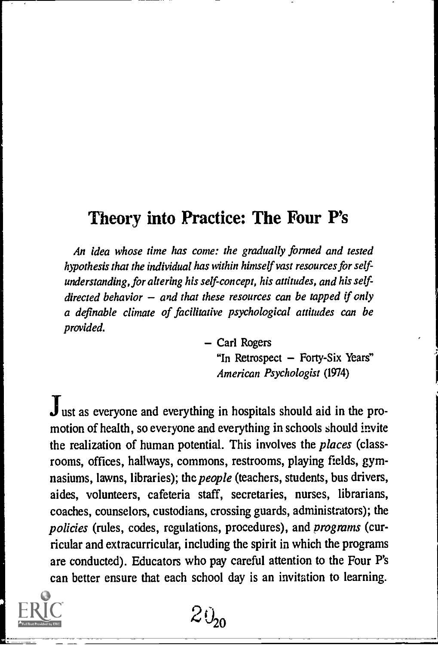### Theory into Practice: The Four P's

An idea whose time has come: the gradually formed and tested hypothesis that the individual has within himself vast resources for selfunderstanding, for altering his self-concept, his attitudes, and his selfdirected behavior  $-$  and that these resources can be tapped if only a definable climate of facilitative psychological attitudes can be provided.

> - Carl Rogers "In Retrospect  $-$  Forty-Six Years" American Psychologist (1974)

 $J<sub>ust</sub>$  as everyone and everything in hospitals should aid in the promotion of health, so everyone and everything in schools should invite the realization of human potential. This involves the *places* (classrooms, offices, hallways, commons, restrooms, playing fields, gymnasiums, lawns, libraries); the *people* (teachers, students, bus drivers, aides, volunteers, cafeteria staff, secretaries, nurses, librarians, coaches, counselors, custodians, crossing guards, administrators); the policies (rules, codes, regulations, procedures), and programs (curricular and extracurricular, including the spirit in which the programs are conducted). Educators who pay careful attention to the Four P's can better ensure that each school day is an invitation to learning.

 $20_{20}$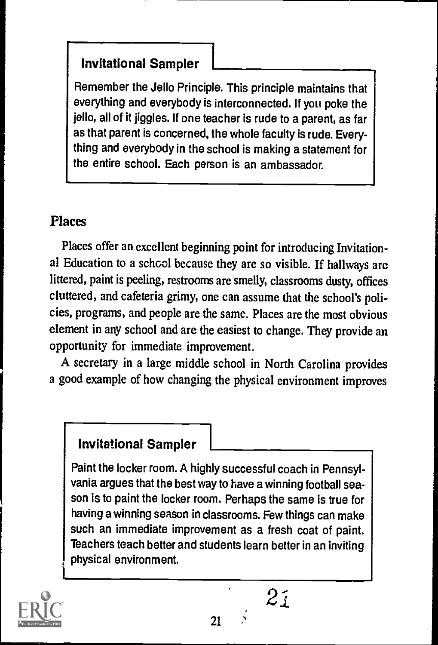Remember the Jello Principle. This principle maintains that everything and everybody is interconnected. If you poke the jello, all of it jiggles. If one teacher is rude to a parent, as far as that parent is concerned, the whole faculty is rude. Everything and everybody in the school is making a statement for the entire school. Each person is an ambassador.

#### Places

Places offer an excellent beginning point for introducing Invitational Education to a school because they are so visible. If hallways are littered, paint is peeling, restrooms are smelly, classrooms dusty, offices cluttered, and cafeteria grimy, one can assume that the school's policies, programs, and people are the same. Places are the most obvious element in any school and are the easiest to change. They provide an opportunity for immediate improvement.

A secretary in a large middle school in North Carolina provides a good example of how changing the physical environment improves

#### Invitational Sampler

Paint the locker room. A highly successful coach in Pennsylvania argues that the best way to have a winning football season is to paint the locker room. Perhaps the same is true for having a winning season in classrooms. Few things can make such an immediate improvement as a fresh coat of paint. Teachers teach better and students learn better in an inviting physical environment.



 $2i$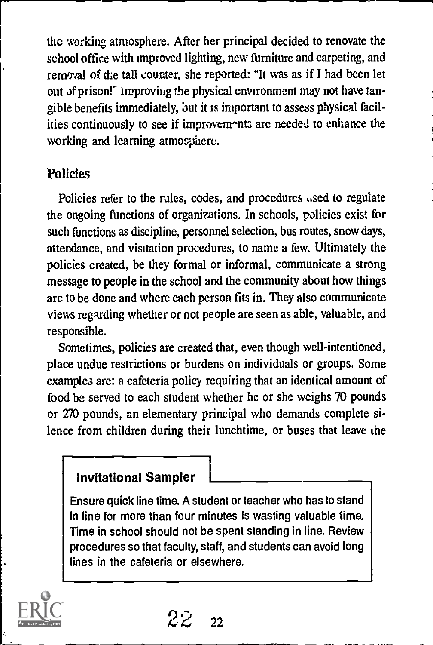the working atmosphere. After her principal decided to renovate the school office with improved lighting, new furniture and carpeting, and removal of the tall counter, she reported: "It was as if I had been let out of prison!" improving the physical environment may not have tangible benefits immediately, but it is important to assess physical facilities continuously to see if improvements are needed to enhance the working and learning atmosphere.

#### Policies

Policies refer to the rules, codes, and procedures used to regulate the ongoing functions of organizations. In schools, policies exist for such functions as discipline, personnel selection, bus routes, snow days, attendance, and visitation procedures, to name a few. Ultimately the policies created, be they formal or informal, communicate a strong message to people in the school and the community about how things are to be done and where each person fits in. They also communicate views regarding whether or not people are seen as able, valuable, and responsible.

Sometimes, policies are created that, even though well-intentioned, place undue restrictions or burdens on individuals or groups. Some examples are: a cafeteria policy requiring that an identical amount of food be served to each student whether he or she weighs 70 pounds or 270 pounds, an elementary principal who demands complete silence from children during their lunchtime, or buses that leave the

#### Invitational Sampler

Ensure quick line time. A student or teacher who has to stand in line for more than four minutes is wasting valuable time. Time in school should not be spent standing in line. Review procedures so that faculty, staff, and students can avoid long lines in the cafeteria or elsewhere.

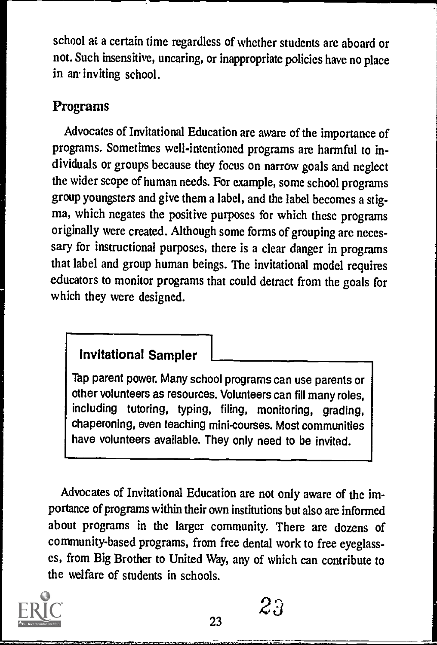school at a certain time regardless of whether students are aboard or not. Such insensitive, uncaring, or inappropriate policies have no place in an inviting school.

#### Programs

Advocates of Invitational Education are aware of the importance of programs. Sometimes well-intentioned programs are harmful to individuals or groups because they focus on narrow goals and neglect the wider scope of human needs. For example, some school programs group youngsters and give them a label, and the label becomes a stigma, which negates the positive purposes for which these programs originally were created. Although some forms of grouping are necessary for instructional purposes, there is a clear danger in programs that label and group human beings. The invitational model requires educators to monitor programs that could detract from the goals for which they were designed.

#### Invitational Sampler

Tap parent power. Many school programs can use parents or other volunteers as resources. Volunteers can fill many roles, including tutoring, typing, filing, monitoring, grading, chaperoning, even teaching mini-courses. Most communities have volunteers available. They only need to be invited.

Advocates of Invitational Education are not only aware of the importance of programs within their own institutions but also are informed about programs in the larger community. There are dozens of community-based programs, from free dental work to free eyeglasses, from Big Brother to United Way, any of which can contribute to the welfare of students in schools.



23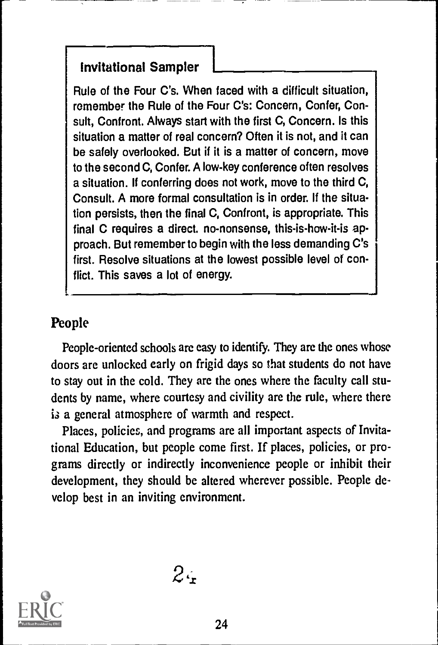Rule of the Four C's. When faced with a difficult situation, remember the Rule of the Four C's: Concern, Confer, Consult, Confront. Always start with the first C, Concern, Is this situation a matter of real concern? Often it is not, and it can be safely overlooked. But if it is a matter of concern, move to the second C, Confer. A low-key conference often resolves a situation. If conferring does not work, move to the third C, Consult. A more formal consultation is in order. If the situation persists, then the final C, Confront, is appropriate. This final C requires a direct. no-nonsense, this-is-how-it-is approach. But remember to begin with the less demanding C's first. Resolve situations at the lowest possible level of conflict. This saves a lot of energy.

#### People

People-oriented schools are easy to identify. They are the ones whose doors are unlocked early on frigid days so that students do not have to stay out in the cold. They are the ones where the faculty call students by name, where courtesy and civility are the rule, where there is a general atmosphere of warmth and respect.

Places, policies, and programs are all important aspects of Invitational Education, but people come first. If places, policies, or programs directly or indirectly inconvenience people or inhibit their development, they should be altered wherever possible. People develop best in an inviting environment.

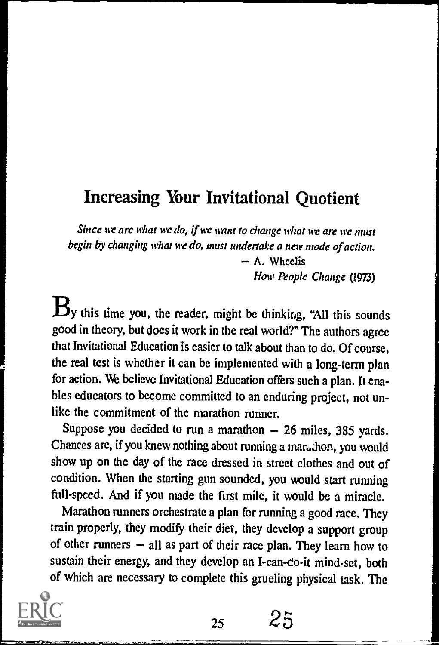## Increasing Your Invitational Quotient

Since we are what we do, if we want to change what we are we must begin by changing what we do, must undertake a new mode of action.

> A. Wheelis Now People Change (!973)

 $B_y$  this time you, the reader, might be thinking, "All this sounds good in theory, but does it work in the real world?" The authors agree that Invitational Education is easier to talk about than to do. Of course, the real test is whether it can be implemented with a long-term plan for action. We believe Invitational Education offers such a plan. It ena bles educators to become committed to an enduring project, not unlike the commitment of the marathon runner.

Suppose you decided to run a marathon  $-26$  miles, 385 yards. Chances are, if you knew nothing about running a maruthon, you would show up on the day of the race dressed in street clothes and out of condition. When the starting gun sounded, you would start running full-speed. And if you made the first mile, it would be a miracle.

Marathon runners orchestrate a plan for running a good race. They train properly, they modify their diet, they develop a support group of other runners  $-$  all as part of their race plan. They learn how to sustain their energy, and they develop an I-can-co-it mind-set, both of which are necessary to complete this grueling physical task. The



<sup>25</sup> 25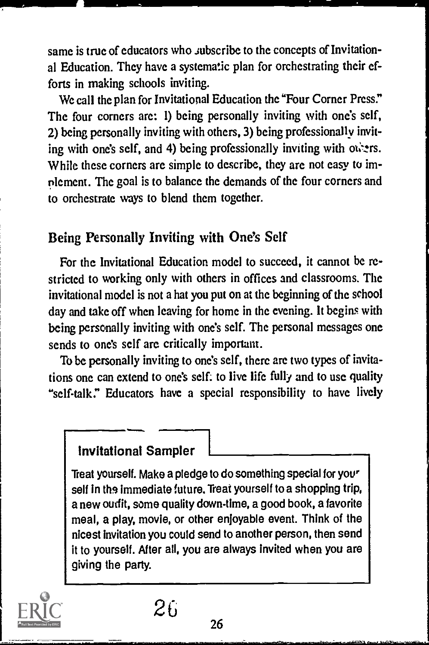same is true of educators who subscribe to the concepts of Invitational Education. They have a systematic plan for orchestrating their efforts in making schools inviting.

We call the plan for Invitational Education the "Four Corner Press." The four corners are: 1) being personally inviting with one's self, 2) being personally inviting with others, 3) being professionally inviting with one's self, and 4) being professionally inviting with ones. While these corners arc simple to describe, they are not easy to implement. The goal is to balance the demands of the four corners and to orchestrate ways to blend them together.

#### Being Personally Inviting with One's Self

For the Invitational Education model to succeed, it cannot be restricted to working only with others in offices and classrooms. The invitational model is not a hat you put on at the beginning of the school day and take off when leaving for home in the evening. It begins with being personally inviting with one's self. The personal messages one sends to one's self are critically important.

To be personally inviting to one's self, there arc two types of invitations one can extend to one's self: to live life fully and to use quality "self-talk." Educators have a special responsibility to have lively

#### Invitational Sampler

Treat yourself. Make a pledge to do something special for your self in the immediate future. Treat yourself to a shopping trip, a new outfit, some quality down-time, a good book, a favorite meal, a play, movie, or other enjoyable event. Think of the nicest invitation you could send to another person, then send it to yourself. After all, you are always invited when you are giving the party.



26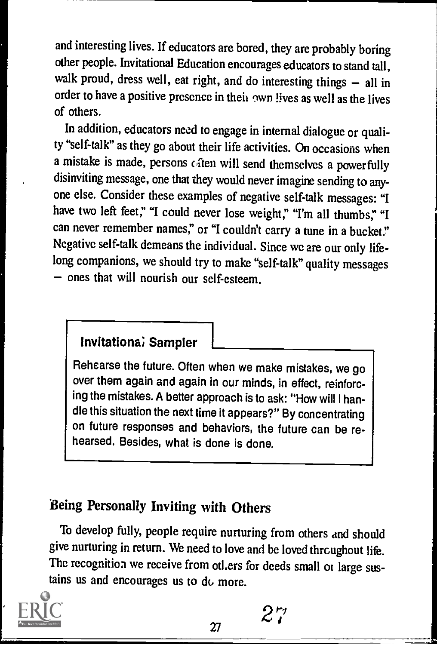and interesting lives. If educators are bored, they are probably boring other people. Invitational Education encourages educators to stand tall, walk proud, dress well, eat right, and do interesting things  $-$  all in order to have a positive presence in their own lives as well as the lives of others.

In addition, educators need to engage in internal dialogue or quality "self-talk" as they go about their life activities. On occasions when a mistake is made, persons caten will send themselves a powerfully disinviting message, one that they would never imagine sending to anyone else. Consider these examples of negative self-talk messages: "I have two left feet," "I could never lose weight," "I'm all thumbs," "I can never remember names," or "I couldn't carry a tune in a bucket." Negative self-talk demeans the individual. Since we are our only lifelong companions, we should try to make "self-talk" quality messages - ones that will nourish our self-esteem.

#### Invitationa; Sampler

Rehearse the future. Often when we make mistakes, we go over them again and again in our minds, in effect, reinforcing the mistakes. A better approach is to ask: "How will I handle this situation the next time it appears?" By concentrating on future responses and behaviors, the future can be rehearsed. Besides, what is done is done.

## Being Personally Inviting with Others

To develop fully, people require nurturing from others and should give nurturing in return. We need to love and be loved throughout life. The recognition we receive from otl.ers for deeds small or large sustains us and encourages us to dc, more.



2"r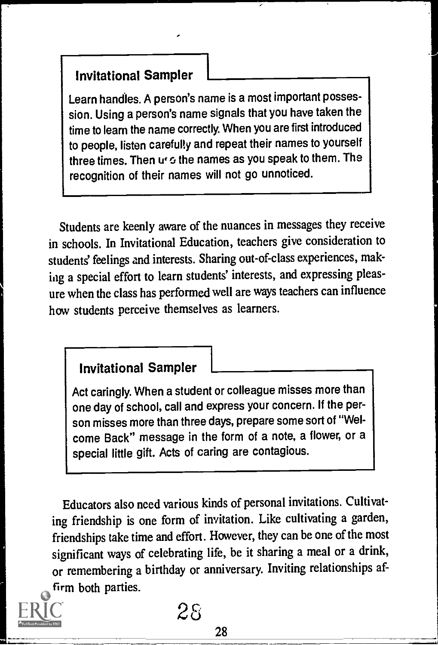Learn handles. A person's name is a most important possession. Using a person's name signals that you have taken the time to learn the name correctly. When you are first introduced to people, listen carefully and repeat their names to yourself three times. Then  $u_1 \circ t$  the names as you speak to them. The recognition of their names will not go unnoticed.

Students are keenly aware of the nuances in messages they receive in schools. In Invitational Education, teachers give consideration to students' feelings and interests. Sharing out-of-class experiences, making a special effort to learn students' interests, and expressing pleasure when the class has performed well are ways teachers can influence how students perceive themselves as learners.

#### Invitational Sampler

Act caringly. When a student or colleague misses more than one day of school, call and express your concern. If the person misses more than three days, prepare some sort of "Welcome Back" message in the form of a note, a flower, or a special little gift. Acts of caring are contagious.

Educators also need various kinds of personal invitations. Cultivating friendship is one form of invitation. Like cultivating a garden, friendships take time and effort. However, they can be one of the most significant ways of celebrating life, be it sharing a meal or a drink, or remembering a birthday or anniversary. Inviting relationships affirm both parties.



25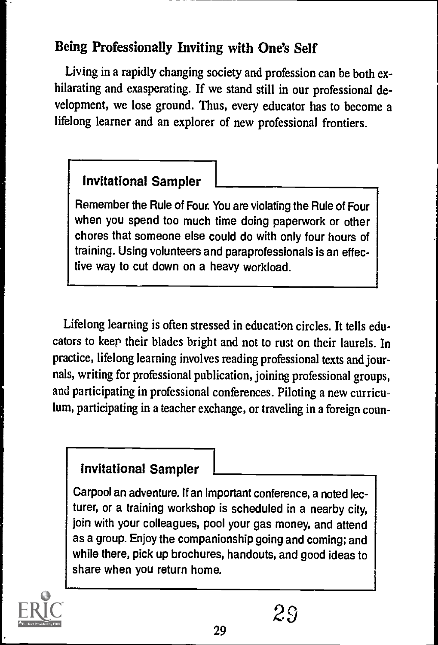#### Being Professionally Inviting with One's Self

Living in a rapidly changing society and profession can be both exhilarating and exasperating. If we stand still in our professional development, we lose ground. Thus, every educator has to become a lifelong learner and an explorer of new professional frontiers.

#### **Invitational Sampler**

Remember the Rule of Four. You are violating the Rule of Four when you spend too much time doing paperwork or other chores that someone else could do with only four hours of training. Using volunteers and paraprofessionals is an effective way to cut down on a heavy workload.

Lifelong learning is often stressed in education circles. It tells educators to keep their blades bright and not to rust on their laurels. In practice, lifelong learning involves reading professional texts and journals, writing for professional publication, joining professional groups, and participating in professional conferences. Piloting a new curriculum, participating in a teacher exchange, or traveling in a foreign coun-

#### Invitational Sampler

Carpool an adventure. If an important conference, a noted lecturer, or a training workshop is scheduled in a nearby city, join with your colleagues, pool your gas money, and attend as a group. Enjoy the companionship going and coming; and while there, pick up brochures, handouts, and good ideas to share when you return home.

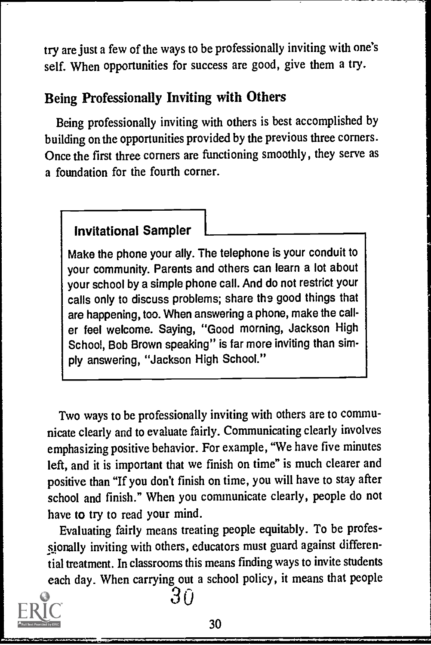try are just a few of the ways to be professionally inviting with one's self. When opportunities for success are good, give them a try.

#### Being Professionally Inviting with Others

Being professionally inviting with others is best accomplished by building on the opportunities provided by the previous three corners. Once the first three corners are functioning smoothly, they serve as a foundation for the fourth corner.

#### Invitational Sampler

Make the phone your ally. The telephone is your conduit to your community. Parents and others can learn a lot about your school by a simple phone call. And do not restrict your calls only to discuss problems; share the good things that are happening, too. When answering a phone, make the caller feel welcome. Saying, "Good morning, Jackson High School, Bob Brown speaking" is far more inviting than simply answering, "Jackson High School."

Two ways to be professionally inviting with others are to communicate clearly and to evaluate fairly. Communicating clearly involves emphasizing positive behavior. For example, "We have five minutes left, and it is important that we finish on time" is much clearer and positive than "If you don't finish on time, you will have to stay after school and finish." When you communicate clearly, people do not have to try to read your mind.

Evaluating fairly means treating people equitably. To be professionally inviting with others, educators must guard against differential treatment. In classrooms this means finding ways to invite students each day. When carrying out a school policy, it means that people



30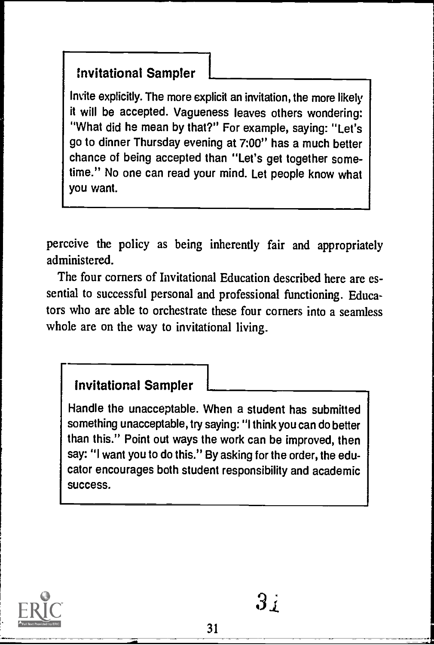Invite explicitly. The more explicit an invitation, the more likely it will be accepted. Vagueness leaves others wondering: "What did he mean by that?" For example, saying: "Let's go to dinner Thursday evening at 7:00" has a much better chance of being accepted than "Let's get together sometime." No one can read your mind. Let people know what you want.

perceive the policy as being inherently fair and appropriately administered.

The four corners of Invitational Education described here are essential to successful personal and professional functioning. Educators who are able to orchestrate these four corners into a seamless whole are on the way to invitational living.

#### Invitational Sampler

Handle the unacceptable. When a student has submitted something unacceptable, try saying: "I think you can do better than this." Point out ways the work can be improved, then say: "I want you to do this." By asking for the order, the educator encourages both student responsibility and academic success.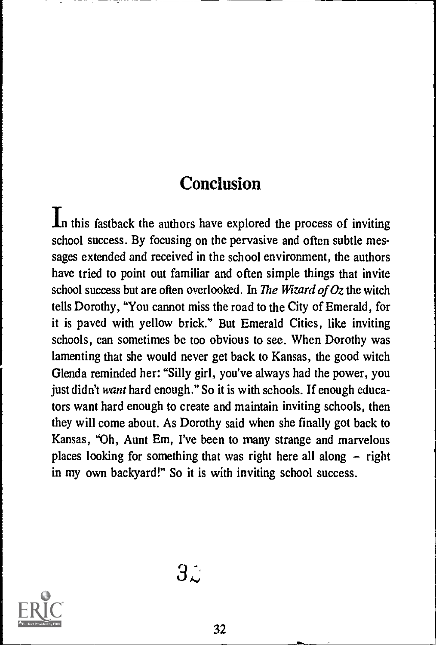## **Conclusion**

In this fastback the authors have explored the process of inviting school success. By focusing on the pervasive and often subtle messages extended and received in the school environment, the authors have tried to point out familiar and often simple things that invite school success but are often overlooked. In The Wizard of Oz the witch tells Dorothy, "You cannot miss the road to the City of Emerald, for it is paved with yellow brick." But Emerald Cities, like inviting schools, can sometimes be too obvious to see. When Dorothy was lamenting that she would never get back to Kansas, the good witch Glenda reminded her: "Silly girl, you've always had the power, you just didn't want hard enough." So it is with schools. If enough educators want hard enough to create and maintain inviting schools, then they will come about. As Dorothy said when she finally got back to Kansas, "Oh, Aunt Em, I've been to many strange and marvelous places looking for something that was right here all along  $-$  right in my own backyard!" So it is with inviting school success.

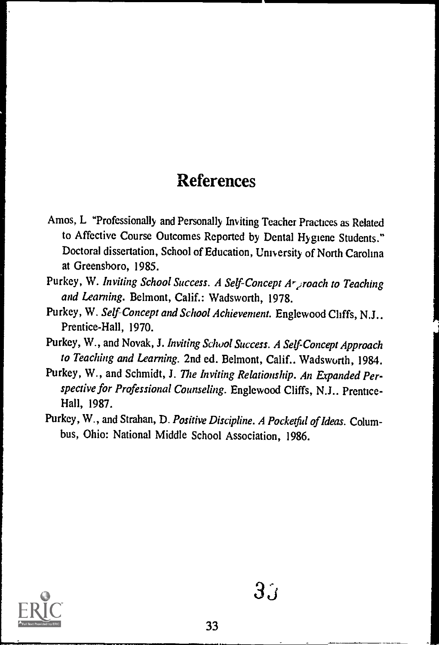## References

- Amos, L "Professionally and Personally Inviting Teacher Practices as Related to Affective Course Outcomes Reported by Dental Hygiene Students." Doctoral dissertation, School of Education, University of North Carolina at Greensboro, 1985.
- Purkey, W. Inviting School Success. A Self-Concept Ar groach to Teaching and Learning. Belmont, Calif.: Wadsworth, 1978.
- Purkey, W. Self-Concept and School Achievement. Englewood Cliffs, N.J.. Prentice-Hall, 1970.
- Purkey, W., and Novak, J. Inviting School Success. A Self-Concept Approach to Teaching and Learning. 2nd ed. Belmont, Calif.. Wadsworth, 1984.
- Purkey, W., and Schmidt, J. The Inviting Relationship. An Expanded Perspective for Professional Counseling. Englewood Cliffs, N.J.. Prentice-Hall, 1987.
- Purkey, W., and Strahan, D. Positive Discipline. A Pocketful of Ideas. Columbus, Ohio: National Middle School Association, 1986.



 $3^{\cdot}$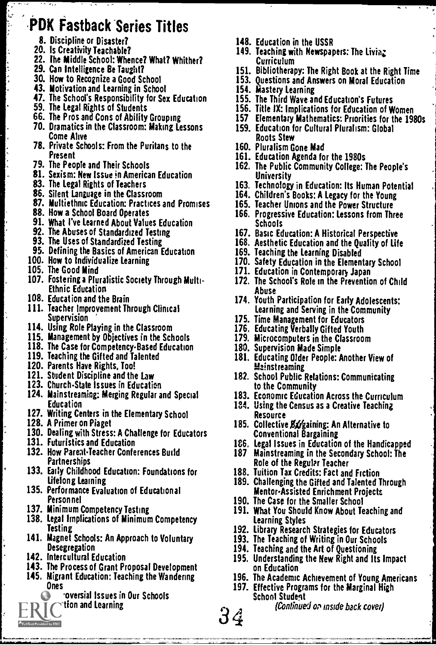## .PDK Fastback Series Titles

- 8. Discipline or Disaster?
- 20. Is Creativity Teachable?
- 22. fhe Middle School: Whence? What? Whither?
- 29. Can Intelligence Be Taught?
- 30. How to Recognize a Good School
- 43. Motivation and Learning in School
- 47. The School's Responsibility for Sex Education
- 
- 59. The Legal Rights of Students 66. The Pros and Cons of Ability Grouping
- 70. Dramatics in the Classroom: Making Lessons Come Alive
- 78. Private Schools: From the Puritans to the
- Present 79. The People and Their Schools
- 81. Sexism: New Issue in American Education
- 83. The Legal Rights of Teachers
- 
- 86. Silent Language in the Classroom 87. Multiethnic Education: Practices and Promises
- 88. How a School Board Operates
- 91. What I've Learned About Values Education
- 
- 92. The Abuses of Standardized Testing 93. The Uses of Standardized Testing
- 95. Defining the Basics of American Education
- 100. How to Individualize Learning
- 105. The Good Mind
- 107. Fostering a Pluralistic Society Through Multi- Ethnic Education
- 108. Education and the Brain
- 111. Teacher Improvement Through Clinical<br>Supervision
- Supervision 114. Using Role Playing in the Classroom
- 
- 115. Management by Objectives in the Schools 118. The Case for Competency-Based Education
- 
- 119. Teaching the Gifted and Talented 120. Parents Have Rights, Too!
- 121. Student Discipline and the Law
- 
- 123. Church-State Issues in Education<br>124. Mainstreaming: Merging Regular and Special Education
- 127. Writing Centers in the Elementary School 128. A Primer on Piaget
- 
- 130. Dealing with Stress: A Challenge for Educators
- 131. Futuristics and Education
- 132. How Parent-Teacher Conferences Build Partnerships
- 133. Early Childhood Education: Foundations for Lifelong Learning
- 135. Performance Evaluation of Educational Personnel
- 137. Minimum Competency Testing
- 138. Legal Implications of Minimum Competency
- Testing 141. Magnet Schools: An Approach to Voluntary Desegregation
- 142. Intercultural Education

Full Text Provided by ERIC

- 143. The Process of Grant Proposal Development
- 145. Migrant Education: Teaching the Wandering Ones
	- oversial Issues in Our Schools tion and Learning
- 148. Education in the USSR
- 149. Teaching with Newspapers: The Livia; Curriculum
- Curriculum 151. Bibliotherapy: The Right Book at the Right Time
- 
- 
- 153. Questions and Answers on Moral Education 154. Mastery Learning 155. The Third Wave and Education's Futures
- 156. Title IX: Implications for Education of Women
- 157 Elementary Mathematics: Priorities for the 1980s
- 159. Education for Cultural Pluralism: Global
- Roots Stew 160. Pluralism Gone Mad
- 161. Education Agenda for the 1980s
- 162. The Public Community College: The People's
- University 163. Technology in Education: Its Human Potential
- 164. Children's Books: A Legacy for the Young
- 165. Teacher Unions and the Power Structure
- 166. Progressive Education: Lessons from Three<br>Schools
- Schools 167. Basic Education: A Historical Perspective
- 168. Aesthetic Education and the Quality of Life
- 169. Teaching the Learning Disabled
- 170. Safety Education in the Elementary School
- 171. Education in Contemporary Japan
- 172. The School's Role in the Prevention of Child
- Abuse 174. Youth Participation for Early Adolescents: Learning and Serving in the Community
- 
- 175. Time Management for Educators 176. Educating Verbally Gifted Youth
- 179. Microcomputers in the Classroom
- 180. Supervision Made Simple
- 181. Educating Older People: Another View of **Mainstreaming**
- 182. School Public Relations: Communicating to the Community
- 183. Economic Education Across the Curriculum
- 134. Using the Census as a Creative Teaching<br>Resource
- Resource<br>185. Collective Bargaining: An Alternative to<br>Conventional Bargaining
- 186, Legal Issues in Education of the Handicapped
- 187 Mainstreaming in the Secondary School: The Role of the Regular Teacher
- 188. Tuition Tax Credits: Fact and Fiction
- 189. Challenging the Gifted and Talented Through MentorAssisted Enrichment Projects
- 190. The Case for the Smaller School
- 191. What You Should Know About Teaching and Learning Styles
- 192. Library Research Strategies for Educators
- 193. The Teaching of Writing in Our Schools
- 194. Teaching and the Art of Questioning
- 195. Understanding the New Right and Its Impact on Education
- 196. The Academic Achievement of Young Americans
- 197. Effective Programs for the Marginal High School Student

 $34$  (Continued or inside back cover)